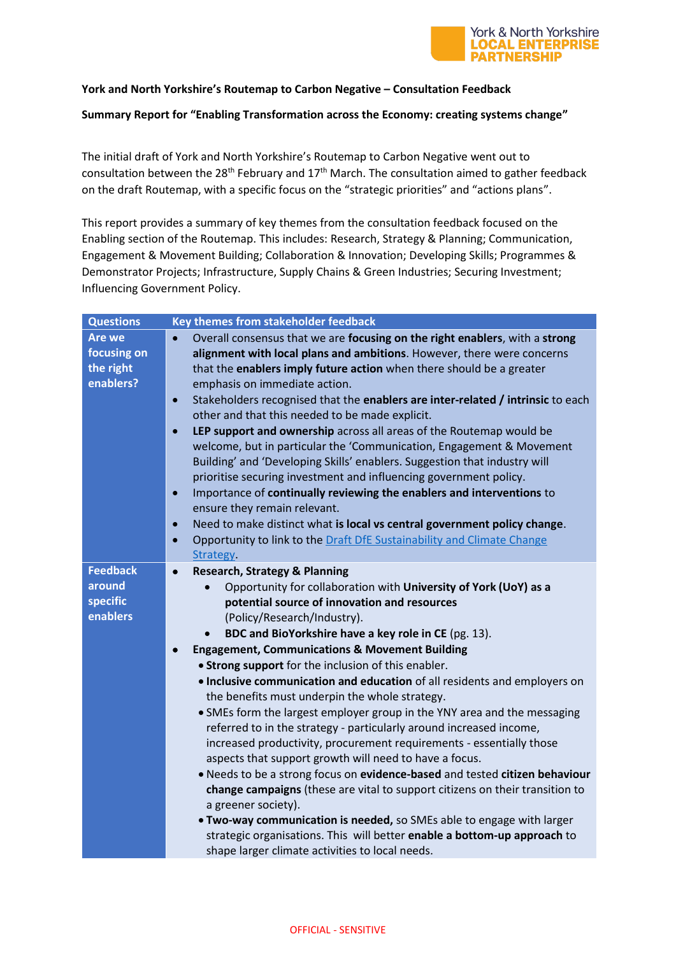

## **York and North Yorkshire's Routemap to Carbon Negative – Consultation Feedback**

## **Summary Report for "Enabling Transformation across the Economy: creating systems change"**

The initial draft of York and North Yorkshire's Routemap to Carbon Negative went out to consultation between the 28<sup>th</sup> February and  $17<sup>th</sup>$  March. The consultation aimed to gather feedback on the draft Routemap, with a specific focus on the "strategic priorities" and "actions plans".

This report provides a summary of key themes from the consultation feedback focused on the Enabling section of the Routemap. This includes: Research, Strategy & Planning; Communication, Engagement & Movement Building; Collaboration & Innovation; Developing Skills; Programmes & Demonstrator Projects; Infrastructure, Supply Chains & Green Industries; Securing Investment; Influencing Government Policy.

| <b>Questions</b>     | Key themes from stakeholder feedback                                                                                                        |
|----------------------|---------------------------------------------------------------------------------------------------------------------------------------------|
| <b>Are we</b>        | Overall consensus that we are focusing on the right enablers, with a strong<br>$\bullet$                                                    |
| focusing on          | alignment with local plans and ambitions. However, there were concerns                                                                      |
| the right            | that the enablers imply future action when there should be a greater                                                                        |
| enablers?            | emphasis on immediate action.                                                                                                               |
|                      | Stakeholders recognised that the enablers are inter-related / intrinsic to each<br>$\bullet$                                                |
|                      | other and that this needed to be made explicit.                                                                                             |
|                      | LEP support and ownership across all areas of the Routemap would be<br>$\bullet$                                                            |
|                      | welcome, but in particular the 'Communication, Engagement & Movement                                                                        |
|                      | Building' and 'Developing Skills' enablers. Suggestion that industry will                                                                   |
|                      | prioritise securing investment and influencing government policy.                                                                           |
|                      | Importance of continually reviewing the enablers and interventions to<br>$\bullet$                                                          |
|                      | ensure they remain relevant.                                                                                                                |
|                      | Need to make distinct what is local vs central government policy change.<br>$\bullet$                                                       |
|                      | Opportunity to link to the Draft DfE Sustainability and Climate Change<br>$\bullet$                                                         |
|                      | Strategy.                                                                                                                                   |
| <b>Feedback</b>      | <b>Research, Strategy &amp; Planning</b><br>$\bullet$                                                                                       |
| around               | Opportunity for collaboration with University of York (UoY) as a<br>$\bullet$                                                               |
| specific<br>enablers | potential source of innovation and resources                                                                                                |
|                      | (Policy/Research/Industry).                                                                                                                 |
|                      | BDC and BioYorkshire have a key role in CE (pg. 13).                                                                                        |
|                      | <b>Engagement, Communications &amp; Movement Building</b>                                                                                   |
|                      | . Strong support for the inclusion of this enabler.                                                                                         |
|                      | . Inclusive communication and education of all residents and employers on                                                                   |
|                      | the benefits must underpin the whole strategy.                                                                                              |
|                      | • SMEs form the largest employer group in the YNY area and the messaging                                                                    |
|                      | referred to in the strategy - particularly around increased income,<br>increased productivity, procurement requirements - essentially those |
|                      | aspects that support growth will need to have a focus.                                                                                      |
|                      | . Needs to be a strong focus on evidence-based and tested citizen behaviour                                                                 |
|                      | change campaigns (these are vital to support citizens on their transition to                                                                |
|                      | a greener society).                                                                                                                         |
|                      | . Two-way communication is needed, so SMEs able to engage with larger                                                                       |
|                      | strategic organisations. This will better enable a bottom-up approach to                                                                    |
|                      | shape larger climate activities to local needs.                                                                                             |
|                      |                                                                                                                                             |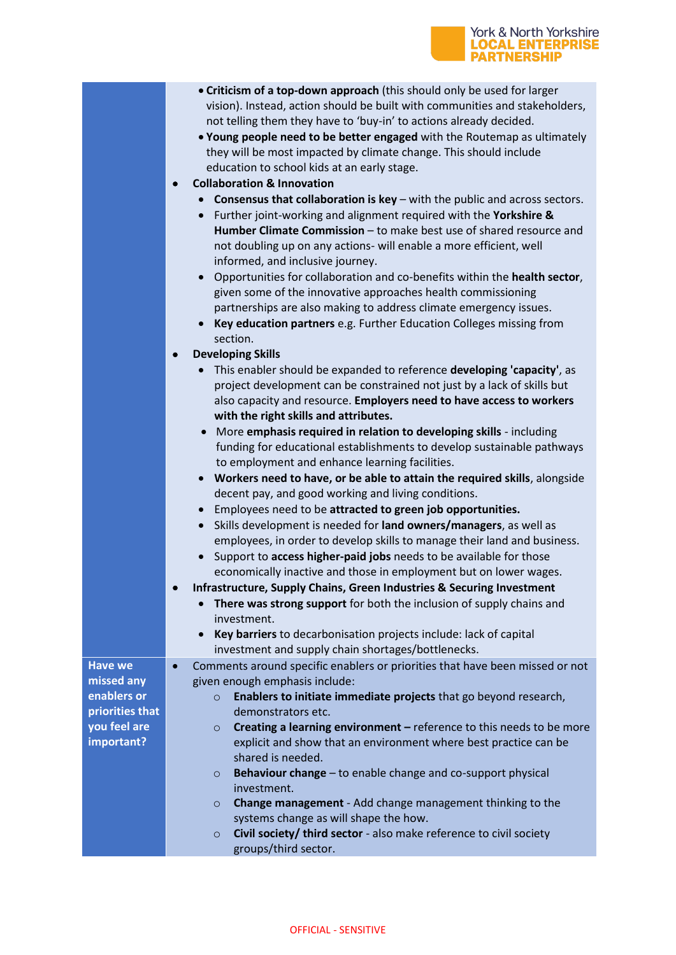|                           | York & North Yorkshire<br><b>RTNERSHIP</b>                                                                                                                                                                                                                                                                                                                                                                                                                                                                                                                                                                                                                                                                                                                                                                                                                                                                                                                                                                                                                                                                                                                                                                                                                                                                                                                                                                                                                                                                                                                                                                                                                                                                                                                                                                                                                                                                                                                                                                                                                                                                                                                                                                                                                                                                                                                                                                 |
|---------------------------|------------------------------------------------------------------------------------------------------------------------------------------------------------------------------------------------------------------------------------------------------------------------------------------------------------------------------------------------------------------------------------------------------------------------------------------------------------------------------------------------------------------------------------------------------------------------------------------------------------------------------------------------------------------------------------------------------------------------------------------------------------------------------------------------------------------------------------------------------------------------------------------------------------------------------------------------------------------------------------------------------------------------------------------------------------------------------------------------------------------------------------------------------------------------------------------------------------------------------------------------------------------------------------------------------------------------------------------------------------------------------------------------------------------------------------------------------------------------------------------------------------------------------------------------------------------------------------------------------------------------------------------------------------------------------------------------------------------------------------------------------------------------------------------------------------------------------------------------------------------------------------------------------------------------------------------------------------------------------------------------------------------------------------------------------------------------------------------------------------------------------------------------------------------------------------------------------------------------------------------------------------------------------------------------------------------------------------------------------------------------------------------------------------|
|                           | • Criticism of a top-down approach (this should only be used for larger<br>vision). Instead, action should be built with communities and stakeholders,<br>not telling them they have to 'buy-in' to actions already decided.<br>. Young people need to be better engaged with the Routemap as ultimately<br>they will be most impacted by climate change. This should include<br>education to school kids at an early stage.<br><b>Collaboration &amp; Innovation</b><br><b>Consensus that collaboration is key</b> $-$ with the public and across sectors.<br>Further joint-working and alignment required with the Yorkshire &<br>$\bullet$<br>Humber Climate Commission - to make best use of shared resource and<br>not doubling up on any actions- will enable a more efficient, well<br>informed, and inclusive journey.<br>Opportunities for collaboration and co-benefits within the health sector,<br>$\bullet$<br>given some of the innovative approaches health commissioning<br>partnerships are also making to address climate emergency issues.<br>Key education partners e.g. Further Education Colleges missing from<br>section.<br><b>Developing Skills</b><br>This enabler should be expanded to reference developing 'capacity', as<br>project development can be constrained not just by a lack of skills but<br>also capacity and resource. Employers need to have access to workers<br>with the right skills and attributes.<br>More emphasis required in relation to developing skills - including<br>funding for educational establishments to develop sustainable pathways<br>to employment and enhance learning facilities.<br>Workers need to have, or be able to attain the required skills, alongside<br>decent pay, and good working and living conditions.<br>Employees need to be attracted to green job opportunities.<br>Skills development is needed for land owners/managers, as well as<br>$\bullet$<br>employees, in order to develop skills to manage their land and business.<br>Support to access higher-paid jobs needs to be available for those<br>economically inactive and those in employment but on lower wages.<br>Infrastructure, Supply Chains, Green Industries & Securing Investment<br>٠<br>There was strong support for both the inclusion of supply chains and<br>investment.<br>Key barriers to decarbonisation projects include: lack of capital |
| <b>Have we</b>            | investment and supply chain shortages/bottlenecks.<br>Comments around specific enablers or priorities that have been missed or not<br>$\bullet$                                                                                                                                                                                                                                                                                                                                                                                                                                                                                                                                                                                                                                                                                                                                                                                                                                                                                                                                                                                                                                                                                                                                                                                                                                                                                                                                                                                                                                                                                                                                                                                                                                                                                                                                                                                                                                                                                                                                                                                                                                                                                                                                                                                                                                                            |
| missed any<br>enablers or | given enough emphasis include:<br>Enablers to initiate immediate projects that go beyond research,                                                                                                                                                                                                                                                                                                                                                                                                                                                                                                                                                                                                                                                                                                                                                                                                                                                                                                                                                                                                                                                                                                                                                                                                                                                                                                                                                                                                                                                                                                                                                                                                                                                                                                                                                                                                                                                                                                                                                                                                                                                                                                                                                                                                                                                                                                         |
| priorities that           | $\circ$<br>demonstrators etc.                                                                                                                                                                                                                                                                                                                                                                                                                                                                                                                                                                                                                                                                                                                                                                                                                                                                                                                                                                                                                                                                                                                                                                                                                                                                                                                                                                                                                                                                                                                                                                                                                                                                                                                                                                                                                                                                                                                                                                                                                                                                                                                                                                                                                                                                                                                                                                              |
| you feel are              | Creating a learning environment - reference to this needs to be more<br>$\circ$                                                                                                                                                                                                                                                                                                                                                                                                                                                                                                                                                                                                                                                                                                                                                                                                                                                                                                                                                                                                                                                                                                                                                                                                                                                                                                                                                                                                                                                                                                                                                                                                                                                                                                                                                                                                                                                                                                                                                                                                                                                                                                                                                                                                                                                                                                                            |
| important?                | explicit and show that an environment where best practice can be<br>shared is needed.                                                                                                                                                                                                                                                                                                                                                                                                                                                                                                                                                                                                                                                                                                                                                                                                                                                                                                                                                                                                                                                                                                                                                                                                                                                                                                                                                                                                                                                                                                                                                                                                                                                                                                                                                                                                                                                                                                                                                                                                                                                                                                                                                                                                                                                                                                                      |
|                           | Behaviour change - to enable change and co-support physical<br>$\circ$<br>investment.                                                                                                                                                                                                                                                                                                                                                                                                                                                                                                                                                                                                                                                                                                                                                                                                                                                                                                                                                                                                                                                                                                                                                                                                                                                                                                                                                                                                                                                                                                                                                                                                                                                                                                                                                                                                                                                                                                                                                                                                                                                                                                                                                                                                                                                                                                                      |
|                           | Change management - Add change management thinking to the<br>$\circ$<br>systems change as will shape the how.                                                                                                                                                                                                                                                                                                                                                                                                                                                                                                                                                                                                                                                                                                                                                                                                                                                                                                                                                                                                                                                                                                                                                                                                                                                                                                                                                                                                                                                                                                                                                                                                                                                                                                                                                                                                                                                                                                                                                                                                                                                                                                                                                                                                                                                                                              |

o **Civil society/ third sector** - also make reference to civil society groups/third sector.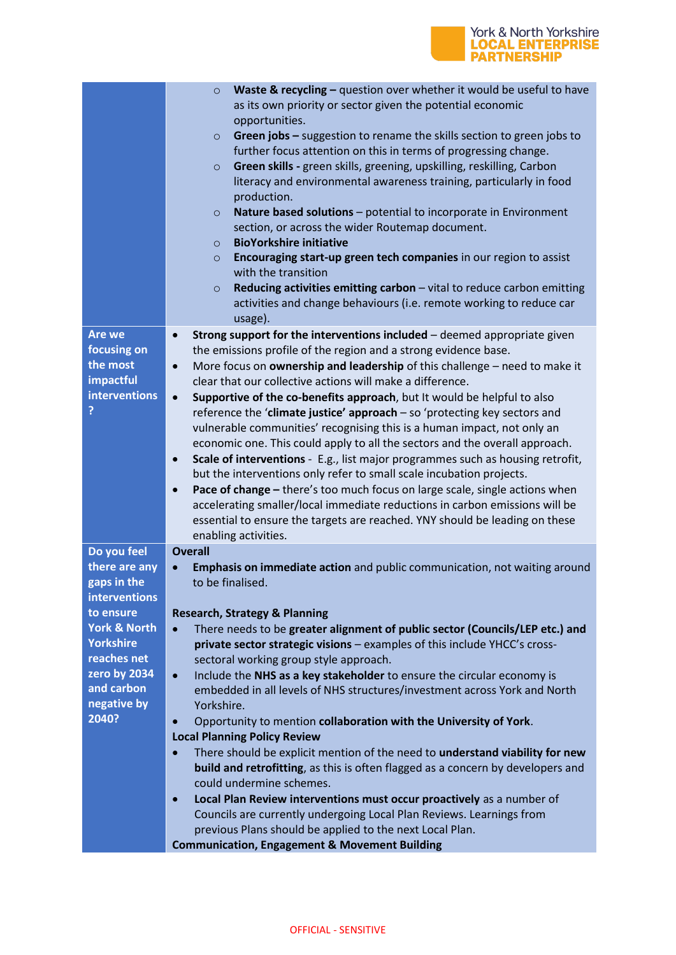

|                                   | Waste & recycling $-$ question over whether it would be useful to have<br>$\circ$<br>as its own priority or sector given the potential economic<br>opportunities.<br>Green jobs - suggestion to rename the skills section to green jobs to<br>$\circ$<br>further focus attention on this in terms of progressing change.<br>Green skills - green skills, greening, upskilling, reskilling, Carbon<br>$\circ$<br>literacy and environmental awareness training, particularly in food<br>production.<br>Nature based solutions - potential to incorporate in Environment<br>$\circ$<br>section, or across the wider Routemap document.<br><b>BioYorkshire initiative</b><br>$\circ$<br>Encouraging start-up green tech companies in our region to assist<br>$\circ$<br>with the transition<br>Reducing activities emitting carbon - vital to reduce carbon emitting<br>$\circ$<br>activities and change behaviours (i.e. remote working to reduce car<br>usage). |
|-----------------------------------|----------------------------------------------------------------------------------------------------------------------------------------------------------------------------------------------------------------------------------------------------------------------------------------------------------------------------------------------------------------------------------------------------------------------------------------------------------------------------------------------------------------------------------------------------------------------------------------------------------------------------------------------------------------------------------------------------------------------------------------------------------------------------------------------------------------------------------------------------------------------------------------------------------------------------------------------------------------|
| <b>Are we</b>                     | Strong support for the interventions included - deemed appropriate given<br>$\bullet$                                                                                                                                                                                                                                                                                                                                                                                                                                                                                                                                                                                                                                                                                                                                                                                                                                                                          |
| focusing on                       | the emissions profile of the region and a strong evidence base.                                                                                                                                                                                                                                                                                                                                                                                                                                                                                                                                                                                                                                                                                                                                                                                                                                                                                                |
| the most<br>impactful             | More focus on ownership and leadership of this challenge - need to make it<br>$\bullet$<br>clear that our collective actions will make a difference.                                                                                                                                                                                                                                                                                                                                                                                                                                                                                                                                                                                                                                                                                                                                                                                                           |
| interventions                     | Supportive of the co-benefits approach, but It would be helpful to also<br>$\bullet$                                                                                                                                                                                                                                                                                                                                                                                                                                                                                                                                                                                                                                                                                                                                                                                                                                                                           |
| ?                                 | reference the 'climate justice' approach $-$ so 'protecting key sectors and                                                                                                                                                                                                                                                                                                                                                                                                                                                                                                                                                                                                                                                                                                                                                                                                                                                                                    |
|                                   | vulnerable communities' recognising this is a human impact, not only an                                                                                                                                                                                                                                                                                                                                                                                                                                                                                                                                                                                                                                                                                                                                                                                                                                                                                        |
|                                   | economic one. This could apply to all the sectors and the overall approach.                                                                                                                                                                                                                                                                                                                                                                                                                                                                                                                                                                                                                                                                                                                                                                                                                                                                                    |
|                                   | Scale of interventions - E.g., list major programmes such as housing retrofit,<br>$\bullet$<br>but the interventions only refer to small scale incubation projects.                                                                                                                                                                                                                                                                                                                                                                                                                                                                                                                                                                                                                                                                                                                                                                                            |
|                                   | Pace of change - there's too much focus on large scale, single actions when<br>$\bullet$                                                                                                                                                                                                                                                                                                                                                                                                                                                                                                                                                                                                                                                                                                                                                                                                                                                                       |
|                                   | accelerating smaller/local immediate reductions in carbon emissions will be                                                                                                                                                                                                                                                                                                                                                                                                                                                                                                                                                                                                                                                                                                                                                                                                                                                                                    |
|                                   | essential to ensure the targets are reached. YNY should be leading on these<br>enabling activities.                                                                                                                                                                                                                                                                                                                                                                                                                                                                                                                                                                                                                                                                                                                                                                                                                                                            |
| Do you feel                       | <b>Overall</b>                                                                                                                                                                                                                                                                                                                                                                                                                                                                                                                                                                                                                                                                                                                                                                                                                                                                                                                                                 |
| there are any                     | Emphasis on immediate action and public communication, not waiting around                                                                                                                                                                                                                                                                                                                                                                                                                                                                                                                                                                                                                                                                                                                                                                                                                                                                                      |
| gaps in the                       | to be finalised.                                                                                                                                                                                                                                                                                                                                                                                                                                                                                                                                                                                                                                                                                                                                                                                                                                                                                                                                               |
| <b>interventions</b><br>to ensure | <b>Research, Strategy &amp; Planning</b>                                                                                                                                                                                                                                                                                                                                                                                                                                                                                                                                                                                                                                                                                                                                                                                                                                                                                                                       |
| <b>York &amp; North</b>           | There needs to be greater alignment of public sector (Councils/LEP etc.) and<br>$\bullet$                                                                                                                                                                                                                                                                                                                                                                                                                                                                                                                                                                                                                                                                                                                                                                                                                                                                      |
| <b>Yorkshire</b>                  | private sector strategic visions - examples of this include YHCC's cross-                                                                                                                                                                                                                                                                                                                                                                                                                                                                                                                                                                                                                                                                                                                                                                                                                                                                                      |
| reaches net                       | sectoral working group style approach.                                                                                                                                                                                                                                                                                                                                                                                                                                                                                                                                                                                                                                                                                                                                                                                                                                                                                                                         |
| zero by 2034<br>and carbon        | Include the NHS as a key stakeholder to ensure the circular economy is<br>$\bullet$                                                                                                                                                                                                                                                                                                                                                                                                                                                                                                                                                                                                                                                                                                                                                                                                                                                                            |
| negative by                       | embedded in all levels of NHS structures/investment across York and North<br>Yorkshire.                                                                                                                                                                                                                                                                                                                                                                                                                                                                                                                                                                                                                                                                                                                                                                                                                                                                        |
| 2040?                             | Opportunity to mention collaboration with the University of York.<br>$\bullet$                                                                                                                                                                                                                                                                                                                                                                                                                                                                                                                                                                                                                                                                                                                                                                                                                                                                                 |
|                                   | <b>Local Planning Policy Review</b>                                                                                                                                                                                                                                                                                                                                                                                                                                                                                                                                                                                                                                                                                                                                                                                                                                                                                                                            |
|                                   | There should be explicit mention of the need to understand viability for new                                                                                                                                                                                                                                                                                                                                                                                                                                                                                                                                                                                                                                                                                                                                                                                                                                                                                   |
|                                   | <b>build and retrofitting</b> , as this is often flagged as a concern by developers and                                                                                                                                                                                                                                                                                                                                                                                                                                                                                                                                                                                                                                                                                                                                                                                                                                                                        |
|                                   | could undermine schemes.<br>Local Plan Review interventions must occur proactively as a number of<br>$\bullet$                                                                                                                                                                                                                                                                                                                                                                                                                                                                                                                                                                                                                                                                                                                                                                                                                                                 |
|                                   | Councils are currently undergoing Local Plan Reviews. Learnings from                                                                                                                                                                                                                                                                                                                                                                                                                                                                                                                                                                                                                                                                                                                                                                                                                                                                                           |
|                                   | previous Plans should be applied to the next Local Plan.                                                                                                                                                                                                                                                                                                                                                                                                                                                                                                                                                                                                                                                                                                                                                                                                                                                                                                       |
|                                   | <b>Communication, Engagement &amp; Movement Building</b>                                                                                                                                                                                                                                                                                                                                                                                                                                                                                                                                                                                                                                                                                                                                                                                                                                                                                                       |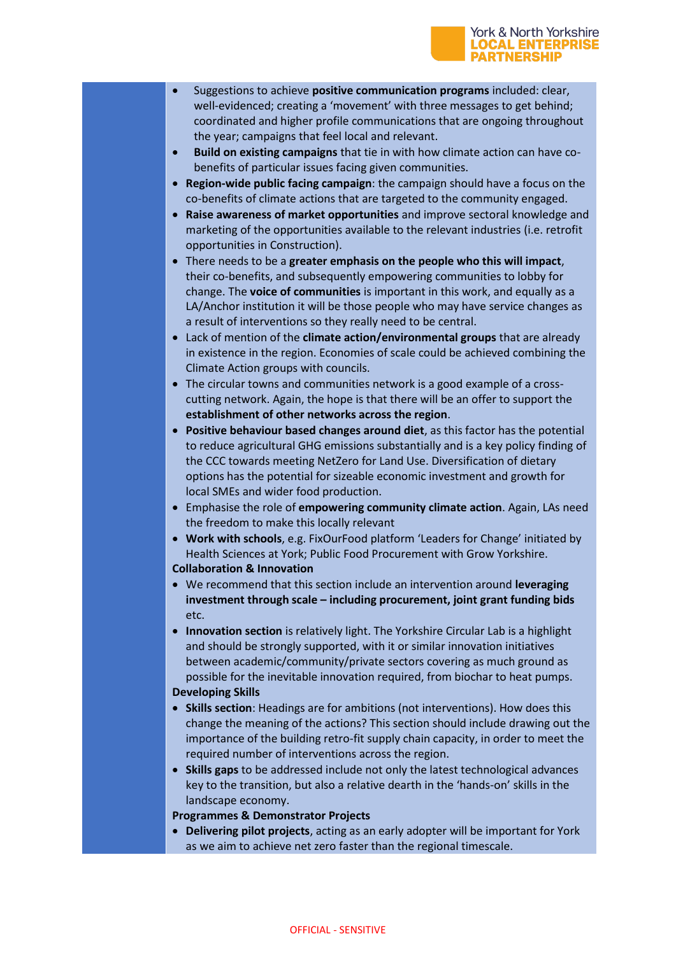#### York & North Yorkshire **LOCAL ENTERPRISE PARTNERSHIP**

- Suggestions to achieve **positive communication programs** included: clear, well-evidenced; creating a 'movement' with three messages to get behind; coordinated and higher profile communications that are ongoing throughout the year; campaigns that feel local and relevant.
- **Build on existing campaigns** that tie in with how climate action can have cobenefits of particular issues facing given communities.
- **Region-wide public facing campaign**: the campaign should have a focus on the co-benefits of climate actions that are targeted to the community engaged.
- **Raise awareness of market opportunities** and improve sectoral knowledge and marketing of the opportunities available to the relevant industries (i.e. retrofit opportunities in Construction).
- There needs to be a **greater emphasis on the people who this will impact**, their co-benefits, and subsequently empowering communities to lobby for change. The **voice of communities** is important in this work, and equally as a LA/Anchor institution it will be those people who may have service changes as a result of interventions so they really need to be central.
- Lack of mention of the **climate action/environmental groups** that are already in existence in the region. Economies of scale could be achieved combining the Climate Action groups with councils.
- The circular towns and communities network is a good example of a crosscutting network. Again, the hope is that there will be an offer to support the **establishment of other networks across the region**.
- **Positive behaviour based changes around diet**, as this factor has the potential to reduce agricultural GHG emissions substantially and is a key policy finding of the CCC towards meeting NetZero for Land Use. Diversification of dietary options has the potential for sizeable economic investment and growth for local SMEs and wider food production.
- Emphasise the role of **empowering community climate action**. Again, LAs need the freedom to make this locally relevant
- **Work with schools**, e.g. FixOurFood platform 'Leaders for Change' initiated by Health Sciences at York; Public Food Procurement with Grow Yorkshire.

## **Collaboration & Innovation**

- We recommend that this section include an intervention around **leveraging investment through scale – including procurement, joint grant funding bids** etc.
- **Innovation section** is relatively light. The Yorkshire Circular Lab is a highlight and should be strongly supported, with it or similar innovation initiatives between academic/community/private sectors covering as much ground as possible for the inevitable innovation required, from biochar to heat pumps.

## **Developing Skills**

- **Skills section**: Headings are for ambitions (not interventions). How does this change the meaning of the actions? This section should include drawing out the importance of the building retro-fit supply chain capacity, in order to meet the required number of interventions across the region.
- **Skills gaps** to be addressed include not only the latest technological advances key to the transition, but also a relative dearth in the 'hands-on' skills in the landscape economy.
- **Programmes & Demonstrator Projects**
- **Delivering pilot projects**, acting as an early adopter will be important for York as we aim to achieve net zero faster than the regional timescale.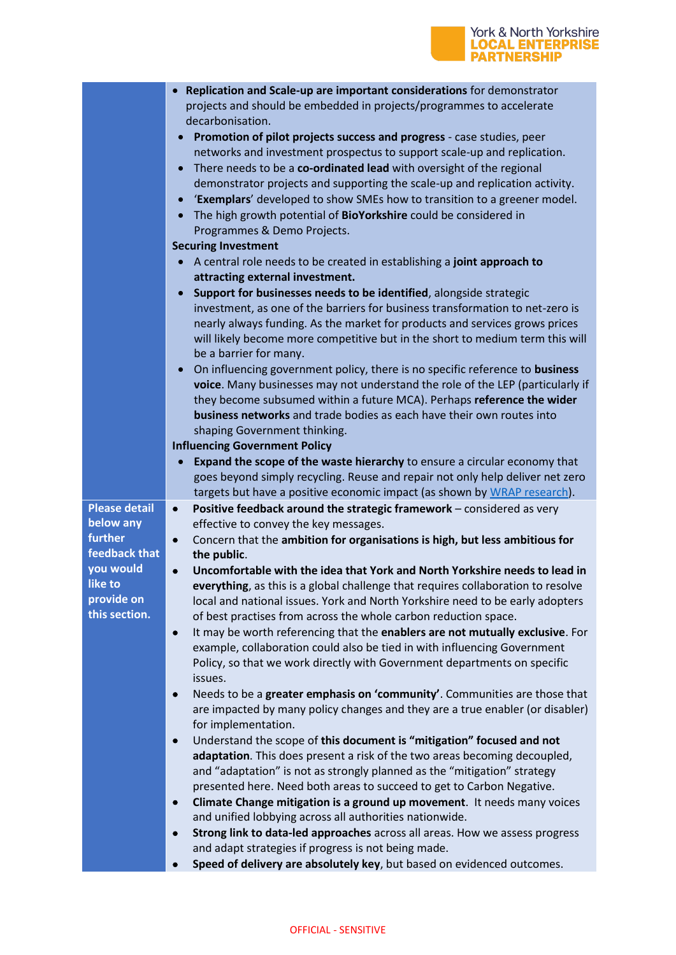# York & North Yorkshire<br>**LOCAL ENTERPRISE**<br>PARTNERSHIP

|                                              | Replication and Scale-up are important considerations for demonstrator<br>projects and should be embedded in projects/programmes to accelerate<br>decarbonisation.<br>Promotion of pilot projects success and progress - case studies, peer<br>networks and investment prospectus to support scale-up and replication.<br>There needs to be a co-ordinated lead with oversight of the regional<br>demonstrator projects and supporting the scale-up and replication activity.<br>'Exemplars' developed to show SMEs how to transition to a greener model.<br>The high growth potential of BioYorkshire could be considered in<br>$\bullet$<br>Programmes & Demo Projects.<br><b>Securing Investment</b> |
|----------------------------------------------|---------------------------------------------------------------------------------------------------------------------------------------------------------------------------------------------------------------------------------------------------------------------------------------------------------------------------------------------------------------------------------------------------------------------------------------------------------------------------------------------------------------------------------------------------------------------------------------------------------------------------------------------------------------------------------------------------------|
|                                              | A central role needs to be created in establishing a joint approach to                                                                                                                                                                                                                                                                                                                                                                                                                                                                                                                                                                                                                                  |
|                                              | attracting external investment.                                                                                                                                                                                                                                                                                                                                                                                                                                                                                                                                                                                                                                                                         |
|                                              | Support for businesses needs to be identified, alongside strategic<br>investment, as one of the barriers for business transformation to net-zero is<br>nearly always funding. As the market for products and services grows prices<br>will likely become more competitive but in the short to medium term this will<br>be a barrier for many.                                                                                                                                                                                                                                                                                                                                                           |
|                                              | On influencing government policy, there is no specific reference to business<br>$\bullet$<br>voice. Many businesses may not understand the role of the LEP (particularly if<br>they become subsumed within a future MCA). Perhaps reference the wider<br>business networks and trade bodies as each have their own routes into<br>shaping Government thinking.                                                                                                                                                                                                                                                                                                                                          |
|                                              | <b>Influencing Government Policy</b>                                                                                                                                                                                                                                                                                                                                                                                                                                                                                                                                                                                                                                                                    |
|                                              | Expand the scope of the waste hierarchy to ensure a circular economy that<br>$\bullet$                                                                                                                                                                                                                                                                                                                                                                                                                                                                                                                                                                                                                  |
|                                              | goes beyond simply recycling. Reuse and repair not only help deliver net zero                                                                                                                                                                                                                                                                                                                                                                                                                                                                                                                                                                                                                           |
| <b>Please detail</b><br>below any<br>further | targets but have a positive economic impact (as shown by WRAP research).<br>Positive feedback around the strategic framework - considered as very<br>$\bullet$<br>effective to convey the key messages.<br>Concern that the ambition for organisations is high, but less ambitious for<br>$\bullet$                                                                                                                                                                                                                                                                                                                                                                                                     |
| feedback that                                | the public.                                                                                                                                                                                                                                                                                                                                                                                                                                                                                                                                                                                                                                                                                             |
| you would                                    | Uncomfortable with the idea that York and North Yorkshire needs to lead in<br>$\bullet$                                                                                                                                                                                                                                                                                                                                                                                                                                                                                                                                                                                                                 |
| like to<br>provide on                        | everything, as this is a global challenge that requires collaboration to resolve<br>local and national issues. York and North Yorkshire need to be early adopters                                                                                                                                                                                                                                                                                                                                                                                                                                                                                                                                       |
| this section.                                | of best practises from across the whole carbon reduction space.                                                                                                                                                                                                                                                                                                                                                                                                                                                                                                                                                                                                                                         |
|                                              | It may be worth referencing that the enablers are not mutually exclusive. For<br>$\bullet$<br>example, collaboration could also be tied in with influencing Government<br>Policy, so that we work directly with Government departments on specific<br>issues.                                                                                                                                                                                                                                                                                                                                                                                                                                           |
|                                              | Needs to be a greater emphasis on 'community'. Communities are those that<br>$\bullet$<br>are impacted by many policy changes and they are a true enabler (or disabler)<br>for implementation.                                                                                                                                                                                                                                                                                                                                                                                                                                                                                                          |
|                                              | Understand the scope of this document is "mitigation" focused and not<br>$\bullet$                                                                                                                                                                                                                                                                                                                                                                                                                                                                                                                                                                                                                      |
|                                              | adaptation. This does present a risk of the two areas becoming decoupled,                                                                                                                                                                                                                                                                                                                                                                                                                                                                                                                                                                                                                               |
|                                              | and "adaptation" is not as strongly planned as the "mitigation" strategy                                                                                                                                                                                                                                                                                                                                                                                                                                                                                                                                                                                                                                |
|                                              | presented here. Need both areas to succeed to get to Carbon Negative.<br>Climate Change mitigation is a ground up movement. It needs many voices<br>$\bullet$                                                                                                                                                                                                                                                                                                                                                                                                                                                                                                                                           |
|                                              | and unified lobbying across all authorities nationwide.                                                                                                                                                                                                                                                                                                                                                                                                                                                                                                                                                                                                                                                 |
|                                              | Strong link to data-led approaches across all areas. How we assess progress<br>$\bullet$                                                                                                                                                                                                                                                                                                                                                                                                                                                                                                                                                                                                                |
|                                              | and adapt strategies if progress is not being made.                                                                                                                                                                                                                                                                                                                                                                                                                                                                                                                                                                                                                                                     |
|                                              | Speed of delivery are absolutely key, but based on evidenced outcomes.                                                                                                                                                                                                                                                                                                                                                                                                                                                                                                                                                                                                                                  |